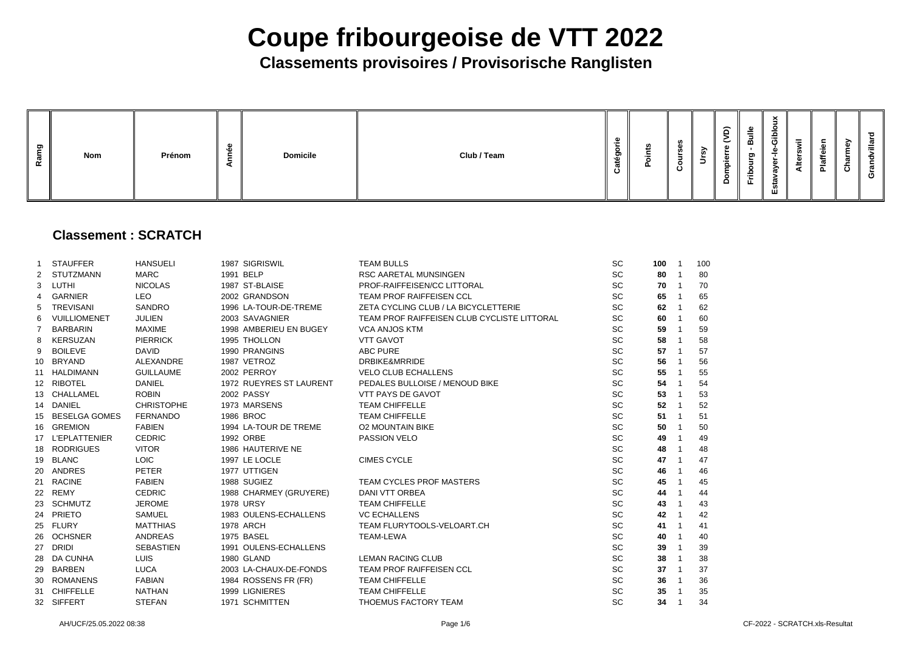### **Classements provisoires / Provisorische Ranglisten**

| <b>Nom</b> | Prénom | <b>Domicile</b> | Club / Team |  | m | M |  | $\widehat{\mathsf{d}}$<br>◡<br>$\mathbf{\Phi}$<br>÷<br>௨<br>$\circ$<br><u>ы</u> | ω<br>≐<br>$\overline{\phantom{0}}$<br>മ<br>ರಾ<br>►<br>o<br>음<br><u>_</u><br>н. | $\times$<br>$\overline{\phantom{a}}$<br>음<br>$\boldsymbol{\sigma}$<br>-<br>U.<br>ш | $=$<br>ت<br>◀ | <b>III</b><br>ᠭᠣ<br>ã. | ് | $\overline{\mathbf{c}}$<br>ത<br>w<br>ပ |
|------------|--------|-----------------|-------------|--|---|---|--|---------------------------------------------------------------------------------|--------------------------------------------------------------------------------|------------------------------------------------------------------------------------|---------------|------------------------|---|----------------------------------------|
|------------|--------|-----------------|-------------|--|---|---|--|---------------------------------------------------------------------------------|--------------------------------------------------------------------------------|------------------------------------------------------------------------------------|---------------|------------------------|---|----------------------------------------|

### **Classement : SCRATCH**

| 1               | <b>STAUFFER</b>      | <b>HANSUELI</b>   | 1987 SIGRISWIL          | <b>TEAM BULLS</b>                           | <b>SC</b> | 100 | $\overline{\mathbf{1}}$ | 10 <sub>C</sub> |
|-----------------|----------------------|-------------------|-------------------------|---------------------------------------------|-----------|-----|-------------------------|-----------------|
| $\overline{2}$  | STUTZMANN            | <b>MARC</b>       | 1991 BELP               | <b>RSC AARETAL MUNSINGEN</b>                | <b>SC</b> | 80  | $\overline{\mathbf{1}}$ | 80              |
| 3               | LUTHI                | <b>NICOLAS</b>    | 1987 ST-BLAISE          | PROF-RAIFFEISEN/CC LITTORAL                 | <b>SC</b> | 70  | $\mathbf 1$             | 70              |
| 4               | <b>GARNIER</b>       | <b>LEO</b>        | 2002 GRANDSON           | <b>TEAM PROF RAIFFEISEN CCL</b>             | <b>SC</b> | 65  |                         | 65              |
| 5               | <b>TREVISANI</b>     | <b>SANDRO</b>     | 1996 LA-TOUR-DE-TREME   | ZETA CYCLING CLUB / LA BICYCLETTERIE        | <b>SC</b> | 62  |                         | 62              |
| 6               | VUILLIOMENET         | <b>JULIEN</b>     | 2003 SAVAGNIER          | TEAM PROF RAIFFEISEN CLUB CYCLISTE LITTORAL | <b>SC</b> | 60  |                         | 60              |
| 7               | <b>BARBARIN</b>      | <b>MAXIME</b>     | 1998 AMBERIEU EN BUGEY  | <b>VCA ANJOS KTM</b>                        | <b>SC</b> | 59  |                         | 59              |
| 8               | <b>KERSUZAN</b>      | <b>PIERRICK</b>   | 1995 THOLLON            | <b>VTT GAVOT</b>                            | <b>SC</b> | 58  |                         | 58              |
| 9               | <b>BOILEVE</b>       | <b>DAVID</b>      | 1990 PRANGINS           | <b>ABC PURE</b>                             | <b>SC</b> | 57  |                         | 57              |
|                 | 10 BRYAND            | ALEXANDRE         | 1987 VETROZ             | <b>DRBIKE&amp;MRRIDE</b>                    | <b>SC</b> | 56  | -1                      | 56              |
|                 | 11 HALDIMANN         | <b>GUILLAUME</b>  | 2002 PERROY             | <b>VELO CLUB ECHALLENS</b>                  | <b>SC</b> | 55  |                         | 55              |
|                 | 12 RIBOTEL           | <b>DANIEL</b>     | 1972 RUEYRES ST LAURENT | PEDALES BULLOISE / MENOUD BIKE              | <b>SC</b> | 54  |                         | 54              |
|                 | 13 CHALLAMEL         | <b>ROBIN</b>      | 2002 PASSY              | VTT PAYS DE GAVOT                           | <b>SC</b> | 53  | $\overline{1}$          | 53              |
|                 | 14 DANIEL            | <b>CHRISTOPHE</b> | 1973 MARSENS            | <b>TEAM CHIFFELLE</b>                       | <b>SC</b> | 52  |                         | 52              |
| 15 <sub>1</sub> | <b>BESELGA GOMES</b> | <b>FERNANDO</b>   | 1986 BROC               | <b>TEAM CHIFFELLE</b>                       | <b>SC</b> | 51  | 1                       | 51              |
|                 | 16 GREMION           | <b>FABIEN</b>     | 1994 LA-TOUR DE TREME   | <b>O2 MOUNTAIN BIKE</b>                     | <b>SC</b> | 50  |                         | 50              |
|                 | 17 L'EPLATTENIER     | <b>CEDRIC</b>     | 1992 ORBE               | PASSION VELO                                | <b>SC</b> | 49  |                         | 49              |
| 18              | <b>RODRIGUES</b>     | <b>VITOR</b>      | 1986 HAUTERIVE NE       |                                             | <b>SC</b> | 48  |                         | 48              |
| 19              | <b>BLANC</b>         | <b>LOIC</b>       | 1997 LE LOCLE           | <b>CIMES CYCLE</b>                          | <b>SC</b> | 47  |                         | 47              |
| 20              | ANDRES               | PETER             | 1977 UTTIGEN            |                                             | <b>SC</b> | 46  | -1                      | 46              |
|                 | 21 RACINE            | <b>FABIEN</b>     | 1988 SUGIEZ             | <b>TEAM CYCLES PROF MASTERS</b>             | <b>SC</b> | 45  |                         | 45              |
| 22              | <b>REMY</b>          | <b>CEDRIC</b>     | 1988 CHARMEY (GRUYERE)  | <b>DANI VTT ORBEA</b>                       | <b>SC</b> | 44  |                         | 44              |
| 23              | <b>SCHMUTZ</b>       | <b>JEROME</b>     | <b>1978 URSY</b>        | <b>TEAM CHIFFELLE</b>                       | <b>SC</b> | 43  |                         | 43              |
| 24              | <b>PRIETO</b>        | <b>SAMUEL</b>     | 1983 OULENS-ECHALLENS   | <b>VC ECHALLENS</b>                         | <b>SC</b> | 42  |                         | 42              |
| 25              | <b>FLURY</b>         | <b>MATTHIAS</b>   | <b>1978 ARCH</b>        | TEAM FLURYTOOLS-VELOART.CH                  | <b>SC</b> | 41  |                         | 41              |
| 26              | <b>OCHSNER</b>       | <b>ANDREAS</b>    | 1975 BASEL              | <b>TEAM-LEWA</b>                            | <b>SC</b> | 40  | -1                      | 40              |
| 27              | <b>DRIDI</b>         | <b>SEBASTIEN</b>  | 1991 OULENS-ECHALLENS   |                                             | <b>SC</b> | 39  | -1                      | 39              |
| 28              | <b>DA CUNHA</b>      | <b>LUIS</b>       | 1980 GLAND              | <b>LEMAN RACING CLUB</b>                    | <b>SC</b> | 38  | -1                      | 38              |
| 29              | BARBEN               | <b>LUCA</b>       | 2003 LA-CHAUX-DE-FONDS  | <b>TEAM PROF RAIFFEISEN CCL</b>             | SC        | 37  |                         | 37              |
| 30              | <b>ROMANENS</b>      | <b>FABIAN</b>     | 1984 ROSSENS FR (FR)    | <b>TEAM CHIFFELLE</b>                       | <b>SC</b> | 36  | -1                      | 36              |
| 31              | <b>CHIFFELLE</b>     | <b>NATHAN</b>     | 1999 LIGNIERES          | <b>TEAM CHIFFELLE</b>                       | <b>SC</b> | 35  |                         | 35              |
|                 | 32 SIFFERT           | <b>STEFAN</b>     | 1971 SCHMITTEN          | THOEMUS FACTORY TEAM                        | <b>SC</b> | 34  |                         | 34              |
|                 |                      |                   |                         |                                             |           |     |                         |                 |

| 1 0 0 | 1                       | 10C |
|-------|-------------------------|-----|
| 80    | 1                       | 80  |
| 70    | 1                       | 70  |
| 65    | 1                       | 65  |
| 62    | 1                       | 62  |
| 60    | 1                       | 60  |
| 59    | 1                       | 59  |
| 58    | 1                       | 58  |
| 57    | 1                       | 57  |
| 56    | 1                       | 56  |
| 55    | 1                       | 55  |
| 54    | 1                       | 54  |
| 53    | 1                       | 53  |
| 52    | 1                       | 52  |
| 51    | 1                       | 51  |
| 50    | $\overline{\mathbf{1}}$ | 50  |
| 49    | 1                       | 49  |
| 48    | 1                       | 48  |
| 47    | 1                       | 47  |
| 46    | 1                       | 46  |
| 45    | 1                       | 45  |
| 44    | 1                       | 44  |
| 43    | 1                       | 43  |
| 42    | 1                       | 42  |
| 41    | 1                       | 41  |
| 40    | 1                       | 40  |
| 39    | 1                       | 39  |
| 38    | 1                       | 38  |
| 37    | 1                       | 37  |
| 36    | 1                       | 36  |
| 35    | 1                       | 35  |
| 34    | 1                       | 34  |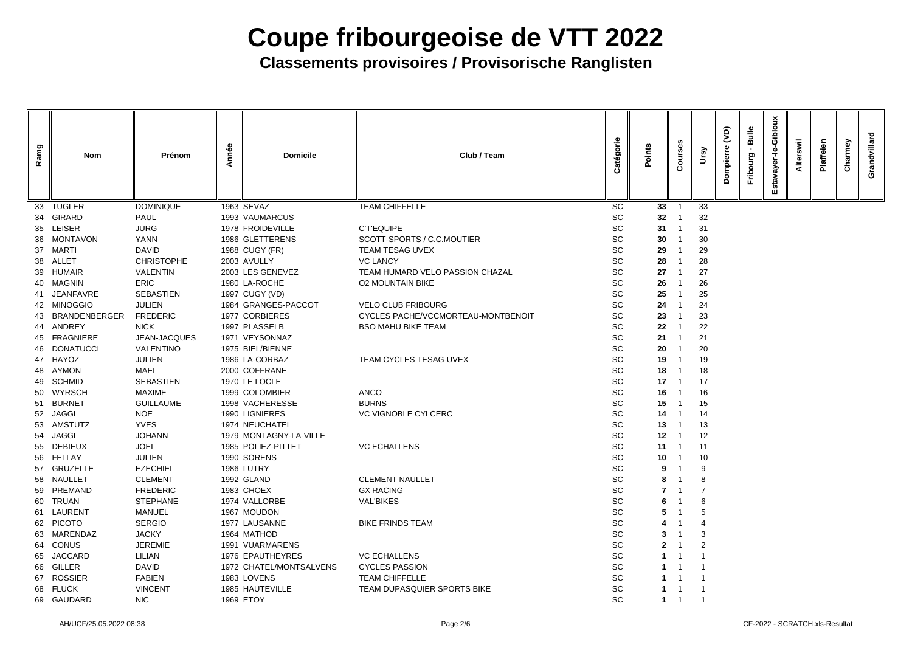| 1963 SEVAZ<br><b>TEAM CHIFFELLE</b><br><b>DOMINIQUE</b><br>SC<br><b>TUGLER</b><br>33<br>33<br>33<br>SC<br><b>GIRARD</b><br><b>PAUL</b><br>1993 VAUMARCUS<br>32<br>32<br>34<br><b>JURG</b><br>1978 FROIDEVILLE<br><b>C'T'EQUIPE</b><br>SC<br>35 LEISER<br>31<br>31<br>SC<br><b>YANN</b><br>36 MONTAVON<br>1986 GLETTERENS<br>SCOTT-SPORTS / C.C.MOUTIER<br>30<br>30 <sup>°</sup><br>SC<br><b>MARTI</b><br><b>DAVID</b><br>1988 CUGY (FR)<br><b>TEAM TESAG UVEX</b><br>29<br>29<br>37<br>SC<br><b>ALLET</b><br><b>CHRISTOPHE</b><br>2003 AVULLY<br><b>VC LANCY</b><br>28<br>28<br>38<br>SC<br><b>HUMAIR</b><br><b>VALENTIN</b><br>2003 LES GENEVEZ<br>TEAM HUMARD VELO PASSION CHAZAL<br>27<br>27<br>39<br>SC<br>40 MAGNIN<br><b>ERIC</b><br>1980 LA-ROCHE<br><b>O2 MOUNTAIN BIKE</b><br>26<br>26<br>SC<br><b>JEANFAVRE</b><br><b>SEBASTIEN</b><br>1997 CUGY (VD)<br>25<br>25<br>41<br>SC<br>42 MINOGGIO<br><b>JULIEN</b><br>1984 GRANGES-PACCOT<br><b>VELO CLUB FRIBOURG</b><br>24<br>24<br>SC<br><b>FREDERIC</b><br>CYCLES PACHE/VCCMORTEAU-MONTBENOIT<br>23<br><b>BRANDENBERGER</b><br>1977 CORBIERES<br>23<br>SC<br>44 ANDREY<br><b>NICK</b><br>1997 PLASSELB<br><b>BSO MAHU BIKE TEAM</b><br>22<br>22<br>SC<br>45 FRAGNIERE<br>JEAN-JACQUES<br>1971 VEYSONNAZ<br>21<br>21<br>SC<br><b>VALENTINO</b><br>46 DONATUCCI<br>1975 BIEL/BIENNE<br>20<br>20<br>SC<br>47 HAYOZ<br><b>JULIEN</b><br>1986 LA-CORBAZ<br>TEAM CYCLES TESAG-UVEX<br>19<br>19<br>SC<br>48 AYMON<br><b>MAEL</b><br>2000 COFFRANE<br>18<br>18<br>SC<br><b>SCHMID</b><br><b>SEBASTIEN</b><br>1970 LE LOCLE<br>17<br>17<br>49<br>SC<br><b>ANCO</b><br><b>WYRSCH</b><br><b>MAXIME</b><br>1999 COLOMBIER<br>16<br>16<br>50<br>SC<br><b>BURNET</b><br><b>BURNS</b><br><b>GUILLAUME</b><br>1998 VACHERESSE<br>15<br>15<br>51<br>SC<br><b>JAGGI</b><br><b>NOE</b><br>1990 LIGNIERES<br><b>VC VIGNOBLE CYLCERC</b><br>52<br>14<br>14<br>SC<br><b>YVES</b><br>53 AMSTUTZ<br>1974 NEUCHATEL<br>13<br>13<br>54<br>JAGGI<br><b>JOHANN</b><br>1979 MONTAGNY-LA-VILLE<br>SC<br>$12 \quad 1$<br>12<br>SC<br><b>JOEL</b><br><b>VC ECHALLENS</b><br>55 DEBIEUX<br>1985 POLIEZ-PITTET<br>11<br>-11<br><b>JULIEN</b><br>56 FELLAY<br>1990 SORENS<br><b>SC</b><br>10<br>10<br>57 GRUZELLE<br><b>EZECHIEL</b><br><b>SC</b><br>1986 LUTRY<br>9<br>58 NAULLET<br><b>CLEMENT</b><br>1992 GLAND<br><b>CLEMENT NAULLET</b><br><b>SC</b><br>8<br><b>FREDERIC</b><br><b>GX RACING</b><br><b>SC</b><br>59 PREMAND<br>1983 CHOEX<br>60 TRUAN<br><b>STEPHANE</b><br>1974 VALLORBE<br><b>VAL'BIKES</b><br><b>SC</b><br>6<br><b>SC</b><br>61 LAURENT<br><b>MANUEL</b><br>1967 MOUDON<br>5<br>62 PICOTO<br><b>BIKE FRINDS TEAM</b><br><b>SC</b><br><b>SERGIO</b><br>1977 LAUSANNE<br>63 MARENDAZ<br><b>SC</b><br><b>JACKY</b><br>1964 MATHOD<br>3<br>64 CONUS<br><b>JEREMIE</b><br>1991 VUARMARENS<br><b>SC</b><br>$\mathbf{2}$<br>SC<br>65 JACCARD<br><b>VC ECHALLENS</b><br><b>LILIAN</b><br>1976 EPAUTHEYRES<br>66 GILLER<br>1972 CHATEL/MONTSALVENS<br><b>SC</b><br><b>DAVID</b><br><b>CYCLES PASSION</b><br>1983 LOVENS<br><b>SC</b><br>67 ROSSIER<br><b>FABIEN</b><br><b>TEAM CHIFFELLE</b><br>68 FLUCK<br><b>VINCENT</b><br>1985 HAUTEVILLE<br>TEAM DUPASQUIER SPORTS BIKE<br><b>SC</b> | Ramg | <b>Nom</b> | Prénom | Année | <b>Domicile</b> | Club / Team | Catégorie | Points | ø,<br>Cour: | Ursy | <b>QV</b><br>ompierre | Bulle<br>Fribourg | Gibloux<br>$\frac{1}{1}$<br>ayer<br>Estav | swil<br><b>Alter:</b> | Plaffeien | Charmey | Grandvillard |
|--------------------------------------------------------------------------------------------------------------------------------------------------------------------------------------------------------------------------------------------------------------------------------------------------------------------------------------------------------------------------------------------------------------------------------------------------------------------------------------------------------------------------------------------------------------------------------------------------------------------------------------------------------------------------------------------------------------------------------------------------------------------------------------------------------------------------------------------------------------------------------------------------------------------------------------------------------------------------------------------------------------------------------------------------------------------------------------------------------------------------------------------------------------------------------------------------------------------------------------------------------------------------------------------------------------------------------------------------------------------------------------------------------------------------------------------------------------------------------------------------------------------------------------------------------------------------------------------------------------------------------------------------------------------------------------------------------------------------------------------------------------------------------------------------------------------------------------------------------------------------------------------------------------------------------------------------------------------------------------------------------------------------------------------------------------------------------------------------------------------------------------------------------------------------------------------------------------------------------------------------------------------------------------------------------------------------------------------------------------------------------------------------------------------------------------------------------------------------------------------------------------------------------------------------------------------------------------------------------------------------------------------------------------------------------------------------------------------------------------------------------------------------------------------------------------------------------------------------------------------------------------------------------------------------------------------------------------------------------------------------------------------------------------------------------------------------------------------------------------------------------------------------------------------------------------------------------------------------------|------|------------|--------|-------|-----------------|-------------|-----------|--------|-------------|------|-----------------------|-------------------|-------------------------------------------|-----------------------|-----------|---------|--------------|
|                                                                                                                                                                                                                                                                                                                                                                                                                                                                                                                                                                                                                                                                                                                                                                                                                                                                                                                                                                                                                                                                                                                                                                                                                                                                                                                                                                                                                                                                                                                                                                                                                                                                                                                                                                                                                                                                                                                                                                                                                                                                                                                                                                                                                                                                                                                                                                                                                                                                                                                                                                                                                                                                                                                                                                                                                                                                                                                                                                                                                                                                                                                                                                                                                                |      |            |        |       |                 |             |           |        |             |      |                       |                   |                                           |                       |           |         |              |
|                                                                                                                                                                                                                                                                                                                                                                                                                                                                                                                                                                                                                                                                                                                                                                                                                                                                                                                                                                                                                                                                                                                                                                                                                                                                                                                                                                                                                                                                                                                                                                                                                                                                                                                                                                                                                                                                                                                                                                                                                                                                                                                                                                                                                                                                                                                                                                                                                                                                                                                                                                                                                                                                                                                                                                                                                                                                                                                                                                                                                                                                                                                                                                                                                                |      |            |        |       |                 |             |           |        |             |      |                       |                   |                                           |                       |           |         |              |
|                                                                                                                                                                                                                                                                                                                                                                                                                                                                                                                                                                                                                                                                                                                                                                                                                                                                                                                                                                                                                                                                                                                                                                                                                                                                                                                                                                                                                                                                                                                                                                                                                                                                                                                                                                                                                                                                                                                                                                                                                                                                                                                                                                                                                                                                                                                                                                                                                                                                                                                                                                                                                                                                                                                                                                                                                                                                                                                                                                                                                                                                                                                                                                                                                                |      |            |        |       |                 |             |           |        |             |      |                       |                   |                                           |                       |           |         |              |
|                                                                                                                                                                                                                                                                                                                                                                                                                                                                                                                                                                                                                                                                                                                                                                                                                                                                                                                                                                                                                                                                                                                                                                                                                                                                                                                                                                                                                                                                                                                                                                                                                                                                                                                                                                                                                                                                                                                                                                                                                                                                                                                                                                                                                                                                                                                                                                                                                                                                                                                                                                                                                                                                                                                                                                                                                                                                                                                                                                                                                                                                                                                                                                                                                                |      |            |        |       |                 |             |           |        |             |      |                       |                   |                                           |                       |           |         |              |
|                                                                                                                                                                                                                                                                                                                                                                                                                                                                                                                                                                                                                                                                                                                                                                                                                                                                                                                                                                                                                                                                                                                                                                                                                                                                                                                                                                                                                                                                                                                                                                                                                                                                                                                                                                                                                                                                                                                                                                                                                                                                                                                                                                                                                                                                                                                                                                                                                                                                                                                                                                                                                                                                                                                                                                                                                                                                                                                                                                                                                                                                                                                                                                                                                                |      |            |        |       |                 |             |           |        |             |      |                       |                   |                                           |                       |           |         |              |
|                                                                                                                                                                                                                                                                                                                                                                                                                                                                                                                                                                                                                                                                                                                                                                                                                                                                                                                                                                                                                                                                                                                                                                                                                                                                                                                                                                                                                                                                                                                                                                                                                                                                                                                                                                                                                                                                                                                                                                                                                                                                                                                                                                                                                                                                                                                                                                                                                                                                                                                                                                                                                                                                                                                                                                                                                                                                                                                                                                                                                                                                                                                                                                                                                                |      |            |        |       |                 |             |           |        |             |      |                       |                   |                                           |                       |           |         |              |
|                                                                                                                                                                                                                                                                                                                                                                                                                                                                                                                                                                                                                                                                                                                                                                                                                                                                                                                                                                                                                                                                                                                                                                                                                                                                                                                                                                                                                                                                                                                                                                                                                                                                                                                                                                                                                                                                                                                                                                                                                                                                                                                                                                                                                                                                                                                                                                                                                                                                                                                                                                                                                                                                                                                                                                                                                                                                                                                                                                                                                                                                                                                                                                                                                                |      |            |        |       |                 |             |           |        |             |      |                       |                   |                                           |                       |           |         |              |
|                                                                                                                                                                                                                                                                                                                                                                                                                                                                                                                                                                                                                                                                                                                                                                                                                                                                                                                                                                                                                                                                                                                                                                                                                                                                                                                                                                                                                                                                                                                                                                                                                                                                                                                                                                                                                                                                                                                                                                                                                                                                                                                                                                                                                                                                                                                                                                                                                                                                                                                                                                                                                                                                                                                                                                                                                                                                                                                                                                                                                                                                                                                                                                                                                                |      |            |        |       |                 |             |           |        |             |      |                       |                   |                                           |                       |           |         |              |
|                                                                                                                                                                                                                                                                                                                                                                                                                                                                                                                                                                                                                                                                                                                                                                                                                                                                                                                                                                                                                                                                                                                                                                                                                                                                                                                                                                                                                                                                                                                                                                                                                                                                                                                                                                                                                                                                                                                                                                                                                                                                                                                                                                                                                                                                                                                                                                                                                                                                                                                                                                                                                                                                                                                                                                                                                                                                                                                                                                                                                                                                                                                                                                                                                                |      |            |        |       |                 |             |           |        |             |      |                       |                   |                                           |                       |           |         |              |
|                                                                                                                                                                                                                                                                                                                                                                                                                                                                                                                                                                                                                                                                                                                                                                                                                                                                                                                                                                                                                                                                                                                                                                                                                                                                                                                                                                                                                                                                                                                                                                                                                                                                                                                                                                                                                                                                                                                                                                                                                                                                                                                                                                                                                                                                                                                                                                                                                                                                                                                                                                                                                                                                                                                                                                                                                                                                                                                                                                                                                                                                                                                                                                                                                                |      |            |        |       |                 |             |           |        |             |      |                       |                   |                                           |                       |           |         |              |
|                                                                                                                                                                                                                                                                                                                                                                                                                                                                                                                                                                                                                                                                                                                                                                                                                                                                                                                                                                                                                                                                                                                                                                                                                                                                                                                                                                                                                                                                                                                                                                                                                                                                                                                                                                                                                                                                                                                                                                                                                                                                                                                                                                                                                                                                                                                                                                                                                                                                                                                                                                                                                                                                                                                                                                                                                                                                                                                                                                                                                                                                                                                                                                                                                                |      |            |        |       |                 |             |           |        |             |      |                       |                   |                                           |                       |           |         |              |
|                                                                                                                                                                                                                                                                                                                                                                                                                                                                                                                                                                                                                                                                                                                                                                                                                                                                                                                                                                                                                                                                                                                                                                                                                                                                                                                                                                                                                                                                                                                                                                                                                                                                                                                                                                                                                                                                                                                                                                                                                                                                                                                                                                                                                                                                                                                                                                                                                                                                                                                                                                                                                                                                                                                                                                                                                                                                                                                                                                                                                                                                                                                                                                                                                                |      |            |        |       |                 |             |           |        |             |      |                       |                   |                                           |                       |           |         |              |
|                                                                                                                                                                                                                                                                                                                                                                                                                                                                                                                                                                                                                                                                                                                                                                                                                                                                                                                                                                                                                                                                                                                                                                                                                                                                                                                                                                                                                                                                                                                                                                                                                                                                                                                                                                                                                                                                                                                                                                                                                                                                                                                                                                                                                                                                                                                                                                                                                                                                                                                                                                                                                                                                                                                                                                                                                                                                                                                                                                                                                                                                                                                                                                                                                                |      |            |        |       |                 |             |           |        |             |      |                       |                   |                                           |                       |           |         |              |
|                                                                                                                                                                                                                                                                                                                                                                                                                                                                                                                                                                                                                                                                                                                                                                                                                                                                                                                                                                                                                                                                                                                                                                                                                                                                                                                                                                                                                                                                                                                                                                                                                                                                                                                                                                                                                                                                                                                                                                                                                                                                                                                                                                                                                                                                                                                                                                                                                                                                                                                                                                                                                                                                                                                                                                                                                                                                                                                                                                                                                                                                                                                                                                                                                                |      |            |        |       |                 |             |           |        |             |      |                       |                   |                                           |                       |           |         |              |
|                                                                                                                                                                                                                                                                                                                                                                                                                                                                                                                                                                                                                                                                                                                                                                                                                                                                                                                                                                                                                                                                                                                                                                                                                                                                                                                                                                                                                                                                                                                                                                                                                                                                                                                                                                                                                                                                                                                                                                                                                                                                                                                                                                                                                                                                                                                                                                                                                                                                                                                                                                                                                                                                                                                                                                                                                                                                                                                                                                                                                                                                                                                                                                                                                                |      |            |        |       |                 |             |           |        |             |      |                       |                   |                                           |                       |           |         |              |
|                                                                                                                                                                                                                                                                                                                                                                                                                                                                                                                                                                                                                                                                                                                                                                                                                                                                                                                                                                                                                                                                                                                                                                                                                                                                                                                                                                                                                                                                                                                                                                                                                                                                                                                                                                                                                                                                                                                                                                                                                                                                                                                                                                                                                                                                                                                                                                                                                                                                                                                                                                                                                                                                                                                                                                                                                                                                                                                                                                                                                                                                                                                                                                                                                                |      |            |        |       |                 |             |           |        |             |      |                       |                   |                                           |                       |           |         |              |
|                                                                                                                                                                                                                                                                                                                                                                                                                                                                                                                                                                                                                                                                                                                                                                                                                                                                                                                                                                                                                                                                                                                                                                                                                                                                                                                                                                                                                                                                                                                                                                                                                                                                                                                                                                                                                                                                                                                                                                                                                                                                                                                                                                                                                                                                                                                                                                                                                                                                                                                                                                                                                                                                                                                                                                                                                                                                                                                                                                                                                                                                                                                                                                                                                                |      |            |        |       |                 |             |           |        |             |      |                       |                   |                                           |                       |           |         |              |
|                                                                                                                                                                                                                                                                                                                                                                                                                                                                                                                                                                                                                                                                                                                                                                                                                                                                                                                                                                                                                                                                                                                                                                                                                                                                                                                                                                                                                                                                                                                                                                                                                                                                                                                                                                                                                                                                                                                                                                                                                                                                                                                                                                                                                                                                                                                                                                                                                                                                                                                                                                                                                                                                                                                                                                                                                                                                                                                                                                                                                                                                                                                                                                                                                                |      |            |        |       |                 |             |           |        |             |      |                       |                   |                                           |                       |           |         |              |
|                                                                                                                                                                                                                                                                                                                                                                                                                                                                                                                                                                                                                                                                                                                                                                                                                                                                                                                                                                                                                                                                                                                                                                                                                                                                                                                                                                                                                                                                                                                                                                                                                                                                                                                                                                                                                                                                                                                                                                                                                                                                                                                                                                                                                                                                                                                                                                                                                                                                                                                                                                                                                                                                                                                                                                                                                                                                                                                                                                                                                                                                                                                                                                                                                                |      |            |        |       |                 |             |           |        |             |      |                       |                   |                                           |                       |           |         |              |
|                                                                                                                                                                                                                                                                                                                                                                                                                                                                                                                                                                                                                                                                                                                                                                                                                                                                                                                                                                                                                                                                                                                                                                                                                                                                                                                                                                                                                                                                                                                                                                                                                                                                                                                                                                                                                                                                                                                                                                                                                                                                                                                                                                                                                                                                                                                                                                                                                                                                                                                                                                                                                                                                                                                                                                                                                                                                                                                                                                                                                                                                                                                                                                                                                                |      |            |        |       |                 |             |           |        |             |      |                       |                   |                                           |                       |           |         |              |
|                                                                                                                                                                                                                                                                                                                                                                                                                                                                                                                                                                                                                                                                                                                                                                                                                                                                                                                                                                                                                                                                                                                                                                                                                                                                                                                                                                                                                                                                                                                                                                                                                                                                                                                                                                                                                                                                                                                                                                                                                                                                                                                                                                                                                                                                                                                                                                                                                                                                                                                                                                                                                                                                                                                                                                                                                                                                                                                                                                                                                                                                                                                                                                                                                                |      |            |        |       |                 |             |           |        |             |      |                       |                   |                                           |                       |           |         |              |
|                                                                                                                                                                                                                                                                                                                                                                                                                                                                                                                                                                                                                                                                                                                                                                                                                                                                                                                                                                                                                                                                                                                                                                                                                                                                                                                                                                                                                                                                                                                                                                                                                                                                                                                                                                                                                                                                                                                                                                                                                                                                                                                                                                                                                                                                                                                                                                                                                                                                                                                                                                                                                                                                                                                                                                                                                                                                                                                                                                                                                                                                                                                                                                                                                                |      |            |        |       |                 |             |           |        |             |      |                       |                   |                                           |                       |           |         |              |
|                                                                                                                                                                                                                                                                                                                                                                                                                                                                                                                                                                                                                                                                                                                                                                                                                                                                                                                                                                                                                                                                                                                                                                                                                                                                                                                                                                                                                                                                                                                                                                                                                                                                                                                                                                                                                                                                                                                                                                                                                                                                                                                                                                                                                                                                                                                                                                                                                                                                                                                                                                                                                                                                                                                                                                                                                                                                                                                                                                                                                                                                                                                                                                                                                                |      |            |        |       |                 |             |           |        |             |      |                       |                   |                                           |                       |           |         |              |
|                                                                                                                                                                                                                                                                                                                                                                                                                                                                                                                                                                                                                                                                                                                                                                                                                                                                                                                                                                                                                                                                                                                                                                                                                                                                                                                                                                                                                                                                                                                                                                                                                                                                                                                                                                                                                                                                                                                                                                                                                                                                                                                                                                                                                                                                                                                                                                                                                                                                                                                                                                                                                                                                                                                                                                                                                                                                                                                                                                                                                                                                                                                                                                                                                                |      |            |        |       |                 |             |           |        |             |      |                       |                   |                                           |                       |           |         |              |
|                                                                                                                                                                                                                                                                                                                                                                                                                                                                                                                                                                                                                                                                                                                                                                                                                                                                                                                                                                                                                                                                                                                                                                                                                                                                                                                                                                                                                                                                                                                                                                                                                                                                                                                                                                                                                                                                                                                                                                                                                                                                                                                                                                                                                                                                                                                                                                                                                                                                                                                                                                                                                                                                                                                                                                                                                                                                                                                                                                                                                                                                                                                                                                                                                                |      |            |        |       |                 |             |           |        |             |      |                       |                   |                                           |                       |           |         |              |
|                                                                                                                                                                                                                                                                                                                                                                                                                                                                                                                                                                                                                                                                                                                                                                                                                                                                                                                                                                                                                                                                                                                                                                                                                                                                                                                                                                                                                                                                                                                                                                                                                                                                                                                                                                                                                                                                                                                                                                                                                                                                                                                                                                                                                                                                                                                                                                                                                                                                                                                                                                                                                                                                                                                                                                                                                                                                                                                                                                                                                                                                                                                                                                                                                                |      |            |        |       |                 |             |           |        |             |      |                       |                   |                                           |                       |           |         |              |
|                                                                                                                                                                                                                                                                                                                                                                                                                                                                                                                                                                                                                                                                                                                                                                                                                                                                                                                                                                                                                                                                                                                                                                                                                                                                                                                                                                                                                                                                                                                                                                                                                                                                                                                                                                                                                                                                                                                                                                                                                                                                                                                                                                                                                                                                                                                                                                                                                                                                                                                                                                                                                                                                                                                                                                                                                                                                                                                                                                                                                                                                                                                                                                                                                                |      |            |        |       |                 |             |           |        |             |      |                       |                   |                                           |                       |           |         |              |
|                                                                                                                                                                                                                                                                                                                                                                                                                                                                                                                                                                                                                                                                                                                                                                                                                                                                                                                                                                                                                                                                                                                                                                                                                                                                                                                                                                                                                                                                                                                                                                                                                                                                                                                                                                                                                                                                                                                                                                                                                                                                                                                                                                                                                                                                                                                                                                                                                                                                                                                                                                                                                                                                                                                                                                                                                                                                                                                                                                                                                                                                                                                                                                                                                                |      |            |        |       |                 |             |           |        |             |      |                       |                   |                                           |                       |           |         |              |
|                                                                                                                                                                                                                                                                                                                                                                                                                                                                                                                                                                                                                                                                                                                                                                                                                                                                                                                                                                                                                                                                                                                                                                                                                                                                                                                                                                                                                                                                                                                                                                                                                                                                                                                                                                                                                                                                                                                                                                                                                                                                                                                                                                                                                                                                                                                                                                                                                                                                                                                                                                                                                                                                                                                                                                                                                                                                                                                                                                                                                                                                                                                                                                                                                                |      |            |        |       |                 |             |           |        |             |      |                       |                   |                                           |                       |           |         |              |
|                                                                                                                                                                                                                                                                                                                                                                                                                                                                                                                                                                                                                                                                                                                                                                                                                                                                                                                                                                                                                                                                                                                                                                                                                                                                                                                                                                                                                                                                                                                                                                                                                                                                                                                                                                                                                                                                                                                                                                                                                                                                                                                                                                                                                                                                                                                                                                                                                                                                                                                                                                                                                                                                                                                                                                                                                                                                                                                                                                                                                                                                                                                                                                                                                                |      |            |        |       |                 |             |           |        |             |      |                       |                   |                                           |                       |           |         |              |
|                                                                                                                                                                                                                                                                                                                                                                                                                                                                                                                                                                                                                                                                                                                                                                                                                                                                                                                                                                                                                                                                                                                                                                                                                                                                                                                                                                                                                                                                                                                                                                                                                                                                                                                                                                                                                                                                                                                                                                                                                                                                                                                                                                                                                                                                                                                                                                                                                                                                                                                                                                                                                                                                                                                                                                                                                                                                                                                                                                                                                                                                                                                                                                                                                                |      |            |        |       |                 |             |           |        |             |      |                       |                   |                                           |                       |           |         |              |
|                                                                                                                                                                                                                                                                                                                                                                                                                                                                                                                                                                                                                                                                                                                                                                                                                                                                                                                                                                                                                                                                                                                                                                                                                                                                                                                                                                                                                                                                                                                                                                                                                                                                                                                                                                                                                                                                                                                                                                                                                                                                                                                                                                                                                                                                                                                                                                                                                                                                                                                                                                                                                                                                                                                                                                                                                                                                                                                                                                                                                                                                                                                                                                                                                                |      |            |        |       |                 |             |           |        |             |      |                       |                   |                                           |                       |           |         |              |
|                                                                                                                                                                                                                                                                                                                                                                                                                                                                                                                                                                                                                                                                                                                                                                                                                                                                                                                                                                                                                                                                                                                                                                                                                                                                                                                                                                                                                                                                                                                                                                                                                                                                                                                                                                                                                                                                                                                                                                                                                                                                                                                                                                                                                                                                                                                                                                                                                                                                                                                                                                                                                                                                                                                                                                                                                                                                                                                                                                                                                                                                                                                                                                                                                                |      |            |        |       |                 |             |           |        |             |      |                       |                   |                                           |                       |           |         |              |
|                                                                                                                                                                                                                                                                                                                                                                                                                                                                                                                                                                                                                                                                                                                                                                                                                                                                                                                                                                                                                                                                                                                                                                                                                                                                                                                                                                                                                                                                                                                                                                                                                                                                                                                                                                                                                                                                                                                                                                                                                                                                                                                                                                                                                                                                                                                                                                                                                                                                                                                                                                                                                                                                                                                                                                                                                                                                                                                                                                                                                                                                                                                                                                                                                                |      |            |        |       |                 |             |           |        |             |      |                       |                   |                                           |                       |           |         |              |
|                                                                                                                                                                                                                                                                                                                                                                                                                                                                                                                                                                                                                                                                                                                                                                                                                                                                                                                                                                                                                                                                                                                                                                                                                                                                                                                                                                                                                                                                                                                                                                                                                                                                                                                                                                                                                                                                                                                                                                                                                                                                                                                                                                                                                                                                                                                                                                                                                                                                                                                                                                                                                                                                                                                                                                                                                                                                                                                                                                                                                                                                                                                                                                                                                                |      |            |        |       |                 |             |           |        |             |      |                       |                   |                                           |                       |           |         |              |
| 69 GAUDARD<br><b>NIC</b><br>1969 ETOY<br><b>SC</b><br>$1 \quad 1$                                                                                                                                                                                                                                                                                                                                                                                                                                                                                                                                                                                                                                                                                                                                                                                                                                                                                                                                                                                                                                                                                                                                                                                                                                                                                                                                                                                                                                                                                                                                                                                                                                                                                                                                                                                                                                                                                                                                                                                                                                                                                                                                                                                                                                                                                                                                                                                                                                                                                                                                                                                                                                                                                                                                                                                                                                                                                                                                                                                                                                                                                                                                                              |      |            |        |       |                 |             |           |        |             |      |                       |                   |                                           |                       |           |         |              |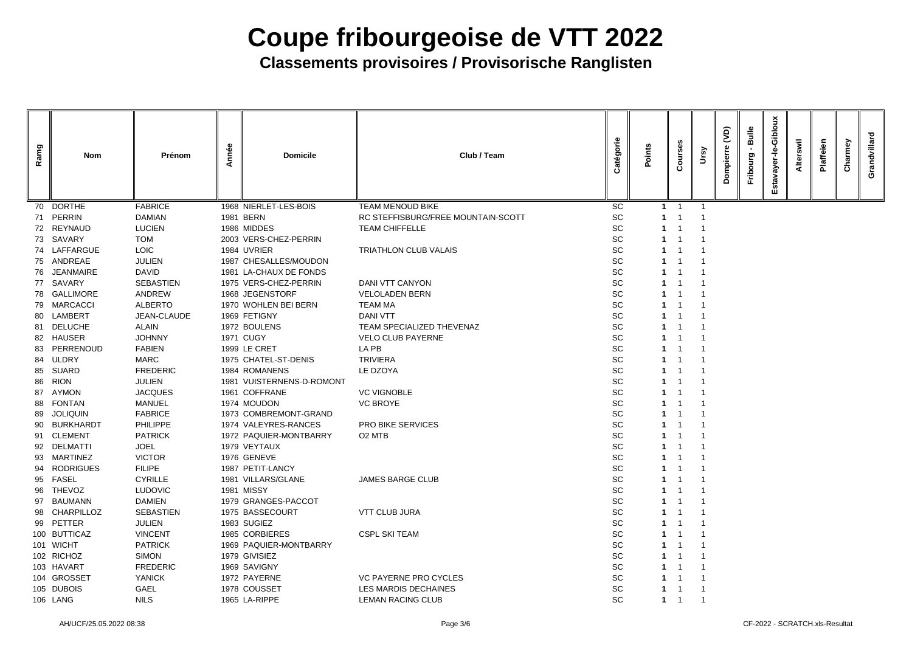| Ramg | <b>Nom</b>        | Prénom           | Année | <b>Domicile</b>           | Club / Team                        | atégorie  | Points      | $\circ$<br>$\epsilon$ | rsy | ίσ<br>mo | Bulle<br>Fribourg | Giblou<br>ត<br>ш | swil<br><b>Alter</b> | Plaffeien | armey<br>ٷ | villard<br>Gra |
|------|-------------------|------------------|-------|---------------------------|------------------------------------|-----------|-------------|-----------------------|-----|----------|-------------------|------------------|----------------------|-----------|------------|----------------|
| 70   | <b>DORTHE</b>     | <b>FABRICE</b>   |       | 1968 NIERLET-LES-BOIS     | <b>TEAM MENOUD BIKE</b>            | <b>SC</b> | $\mathbf 1$ | -1                    |     |          |                   |                  |                      |           |            |                |
|      | 71 PERRIN         | <b>DAMIAN</b>    |       | 1981 BERN                 | RC STEFFISBURG/FREE MOUNTAIN-SCOTT | SC        |             |                       |     |          |                   |                  |                      |           |            |                |
|      | 72 REYNAUD        | <b>LUCIEN</b>    |       | 1986 MIDDES               | <b>TEAM CHIFFELLE</b>              | <b>SC</b> |             |                       |     |          |                   |                  |                      |           |            |                |
|      | 73 SAVARY         | <b>TOM</b>       |       | 2003 VERS-CHEZ-PERRIN     |                                    | <b>SC</b> |             |                       |     |          |                   |                  |                      |           |            |                |
|      | 74 LAFFARGUE      | LOIC             |       | 1984 UVRIER               | <b>TRIATHLON CLUB VALAIS</b>       | <b>SC</b> |             |                       |     |          |                   |                  |                      |           |            |                |
|      | 75 ANDREAE        | <b>JULIEN</b>    |       | 1987 CHESALLES/MOUDON     |                                    | SC        |             |                       |     |          |                   |                  |                      |           |            |                |
|      | 76 JEANMAIRE      | <b>DAVID</b>     |       | 1981 LA-CHAUX DE FONDS    |                                    | <b>SC</b> |             |                       |     |          |                   |                  |                      |           |            |                |
|      | 77 SAVARY         | <b>SEBASTIEN</b> |       | 1975 VERS-CHEZ-PERRIN     | <b>DANI VTT CANYON</b>             | <b>SC</b> |             |                       |     |          |                   |                  |                      |           |            |                |
|      | 78 GALLIMORE      | <b>ANDREW</b>    |       | 1968 JEGENSTORF           | <b>VELOLADEN BERN</b>              | <b>SC</b> |             |                       |     |          |                   |                  |                      |           |            |                |
|      | 79 MARCACCI       | <b>ALBERTO</b>   |       | 1970 WOHLEN BEI BERN      | <b>TEAM MA</b>                     | <b>SC</b> |             |                       |     |          |                   |                  |                      |           |            |                |
| 80   | LAMBERT           | JEAN-CLAUDE      |       | 1969 FETIGNY              | <b>DANI VTT</b>                    | <b>SC</b> |             |                       |     |          |                   |                  |                      |           |            |                |
|      | 81 DELUCHE        | <b>ALAIN</b>     |       | 1972 BOULENS              | TEAM SPECIALIZED THEVENAZ          | <b>SC</b> |             |                       |     |          |                   |                  |                      |           |            |                |
|      | 82 HAUSER         | <b>JOHNNY</b>    |       | <b>1971 CUGY</b>          | <b>VELO CLUB PAYERNE</b>           | <b>SC</b> |             |                       |     |          |                   |                  |                      |           |            |                |
| 83   | PERRENOUD         | <b>FABIEN</b>    |       | 1999 LE CRET              | LA PB                              | <b>SC</b> |             |                       |     |          |                   |                  |                      |           |            |                |
| 84   | <b>ULDRY</b>      | <b>MARC</b>      |       | 1975 CHATEL-ST-DENIS      | <b>TRIVIERA</b>                    | <b>SC</b> |             |                       |     |          |                   |                  |                      |           |            |                |
|      | 85 SUARD          | <b>FREDERIC</b>  |       | 1984 ROMANENS             | LE DZOYA                           | SC        |             |                       |     |          |                   |                  |                      |           |            |                |
| 86   | <b>RION</b>       | <b>JULIEN</b>    |       | 1981 VUISTERNENS-D-ROMONT |                                    | <b>SC</b> |             |                       |     |          |                   |                  |                      |           |            |                |
| 87   | AYMON             | <b>JACQUES</b>   |       | 1961 COFFRANE             | <b>VC VIGNOBLE</b>                 | <b>SC</b> |             |                       |     |          |                   |                  |                      |           |            |                |
| 88   | <b>FONTAN</b>     | <b>MANUEL</b>    |       | 1974 MOUDON               | <b>VC BROYE</b>                    | SC        |             |                       |     |          |                   |                  |                      |           |            |                |
| 89   | <b>JOLIQUIN</b>   | <b>FABRICE</b>   |       | 1973 COMBREMONT-GRAND     |                                    | <b>SC</b> |             |                       |     |          |                   |                  |                      |           |            |                |
|      | 90 BURKHARDT      | <b>PHILIPPE</b>  |       | 1974 VALEYRES-RANCES      | <b>PRO BIKE SERVICES</b>           | SC        |             |                       |     |          |                   |                  |                      |           |            |                |
|      | 91 CLEMENT        | <b>PATRICK</b>   |       | 1972 PAQUIER-MONTBARRY    | O <sub>2</sub> MTB                 | SC        |             | $1 \quad 1$           |     |          |                   |                  |                      |           |            |                |
|      | 92 DELMATTI       | <b>JOEL</b>      |       | 1979 VEYTAUX              |                                    | SC        |             |                       |     |          |                   |                  |                      |           |            |                |
|      | 93 MARTINEZ       | <b>VICTOR</b>    |       | 1976 GENEVE               |                                    | <b>SC</b> |             |                       |     |          |                   |                  |                      |           |            |                |
| 94   | <b>RODRIGUES</b>  | <b>FILIPE</b>    |       | 1987 PETIT-LANCY          |                                    | <b>SC</b> |             |                       |     |          |                   |                  |                      |           |            |                |
| 95   | <b>FASEL</b>      | <b>CYRILLE</b>   |       | 1981 VILLARS/GLANE        | <b>JAMES BARGE CLUB</b>            | SC        |             |                       |     |          |                   |                  |                      |           |            |                |
| 96   | <b>THEVOZ</b>     | <b>LUDOVIC</b>   |       | <b>1981 MISSY</b>         |                                    | <b>SC</b> |             |                       |     |          |                   |                  |                      |           |            |                |
|      | 97 BAUMANN        | <b>DAMIEN</b>    |       | 1979 GRANGES-PACCOT       |                                    | <b>SC</b> |             |                       |     |          |                   |                  |                      |           |            |                |
| 98   | <b>CHARPILLOZ</b> | <b>SEBASTIEN</b> |       | 1975 BASSECOURT           | <b>VTT CLUB JURA</b>               | <b>SC</b> |             |                       |     |          |                   |                  |                      |           |            |                |
|      | 99 PETTER         | <b>JULIEN</b>    |       | 1983 SUGIEZ               |                                    | SC        |             |                       |     |          |                   |                  |                      |           |            |                |
|      | 100 BUTTICAZ      | <b>VINCENT</b>   |       | 1985 CORBIERES            | <b>CSPL SKI TEAM</b>               | <b>SC</b> |             |                       |     |          |                   |                  |                      |           |            |                |
|      | 101 WICHT         | <b>PATRICK</b>   |       | 1969 PAQUIER-MONTBARRY    |                                    | <b>SC</b> |             |                       |     |          |                   |                  |                      |           |            |                |
|      | 102 RICHOZ        | <b>SIMON</b>     |       | 1979 GIVISIEZ             |                                    | SC        |             |                       |     |          |                   |                  |                      |           |            |                |
|      | 103 HAVART        | <b>FREDERIC</b>  |       | 1969 SAVIGNY              |                                    | <b>SC</b> |             |                       |     |          |                   |                  |                      |           |            |                |
|      | 104 GROSSET       | <b>YANICK</b>    |       | 1972 PAYERNE              | <b>VC PAYERNE PRO CYCLES</b>       | <b>SC</b> |             |                       |     |          |                   |                  |                      |           |            |                |
|      | 105 DUBOIS        | <b>GAEL</b>      |       | 1978 COUSSET              | LES MARDIS DECHAINES               | <b>SC</b> |             |                       |     |          |                   |                  |                      |           |            |                |
|      | 106 LANG          | <b>NILS</b>      |       | 1965 LA-RIPPE             | <b>LEMAN RACING CLUB</b>           | <b>SC</b> |             | $1 \quad 1$           |     |          |                   |                  |                      |           |            |                |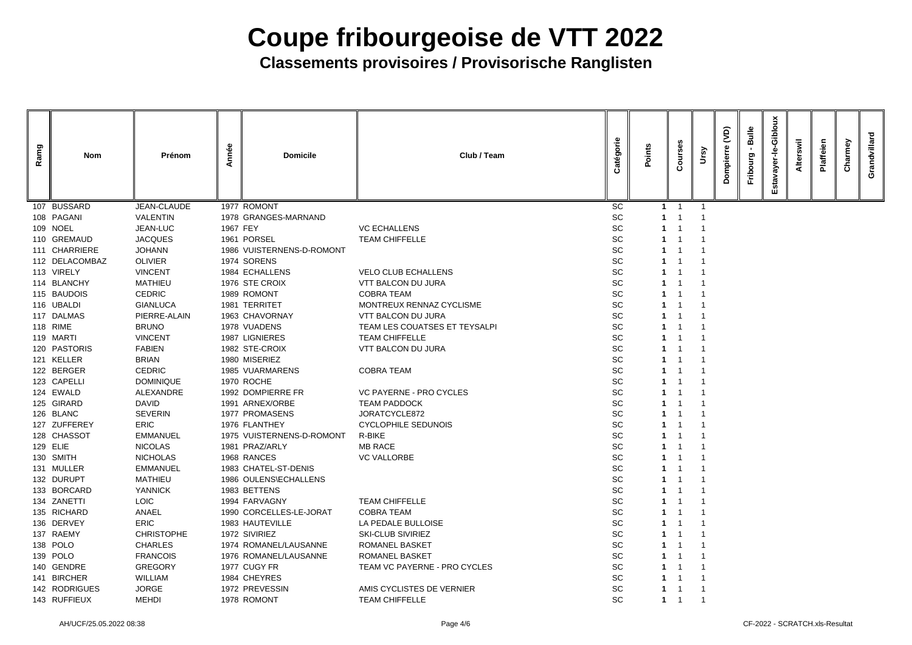| Ramg | <b>Nom</b>      | Prénom             | Année    | <b>Domicile</b>           | Club / Team                    | Catégorie | Points | Jur<br>$\mathbf c$ | Ursy | <b>JO</b><br>ompierre<br>Δ | <b>Bulle</b><br>Fribourg | Giblou<br>ayer. | swil<br>Alter: | Plaffeien | Charmey | Grandvillard |
|------|-----------------|--------------------|----------|---------------------------|--------------------------------|-----------|--------|--------------------|------|----------------------------|--------------------------|-----------------|----------------|-----------|---------|--------------|
|      | 107 BUSSARD     | <b>JEAN-CLAUDE</b> |          | 1977 ROMONT               |                                | SC        |        |                    |      |                            |                          |                 |                |           |         |              |
|      | 108 PAGANI      | <b>VALENTIN</b>    |          | 1978 GRANGES-MARNAND      |                                | SC        |        |                    |      |                            |                          |                 |                |           |         |              |
|      | 109 NOEL        | JEAN-LUC           | 1967 FEY |                           | <b>VC ECHALLENS</b>            | SC        |        |                    |      |                            |                          |                 |                |           |         |              |
|      | 110 GREMAUD     | <b>JACQUES</b>     |          | 1961 PORSEL               | <b>TEAM CHIFFELLE</b>          | SC        |        |                    |      |                            |                          |                 |                |           |         |              |
|      | 111 CHARRIERE   | <b>JOHANN</b>      |          | 1986 VUISTERNENS-D-ROMONT |                                | <b>SC</b> |        |                    |      |                            |                          |                 |                |           |         |              |
|      | 112 DELACOMBAZ  | <b>OLIVIER</b>     |          | 1974 SORENS               |                                | <b>SC</b> |        |                    |      |                            |                          |                 |                |           |         |              |
|      | 113 VIRELY      | <b>VINCENT</b>     |          | 1984 ECHALLENS            | <b>VELO CLUB ECHALLENS</b>     | SC        |        |                    |      |                            |                          |                 |                |           |         |              |
|      | 114 BLANCHY     | <b>MATHIEU</b>     |          | 1976 STE CROIX            | <b>VTT BALCON DU JURA</b>      | SC        |        |                    |      |                            |                          |                 |                |           |         |              |
|      | 115 BAUDOIS     | <b>CEDRIC</b>      |          | 1989 ROMONT               | <b>COBRA TEAM</b>              | SC        |        |                    |      |                            |                          |                 |                |           |         |              |
|      | 116 UBALDI      | <b>GIANLUCA</b>    |          | 1981 TERRITET             | MONTREUX RENNAZ CYCLISME       | SC        |        |                    |      |                            |                          |                 |                |           |         |              |
|      | 117 DALMAS      | PIERRE-ALAIN       |          | 1963 CHAVORNAY            | <b>VTT BALCON DU JURA</b>      | SC        |        |                    |      |                            |                          |                 |                |           |         |              |
|      | <b>118 RIME</b> | <b>BRUNO</b>       |          | 1978 VUADENS              | TEAM LES COUATSES ET TEYSALPI  | SC        |        |                    |      |                            |                          |                 |                |           |         |              |
|      | 119 MARTI       | <b>VINCENT</b>     |          | 1987 LIGNIERES            | <b>TEAM CHIFFELLE</b>          | SC        |        |                    |      |                            |                          |                 |                |           |         |              |
|      | 120 PASTORIS    | <b>FABIEN</b>      |          | 1982 STE-CROIX            | <b>VTT BALCON DU JURA</b>      | SC        |        |                    |      |                            |                          |                 |                |           |         |              |
|      | 121 KELLER      | <b>BRIAN</b>       |          | 1980 MISERIEZ             |                                | SC        |        |                    |      |                            |                          |                 |                |           |         |              |
|      | 122 BERGER      | <b>CEDRIC</b>      |          | 1985 VUARMARENS           | <b>COBRA TEAM</b>              | SC        |        |                    |      |                            |                          |                 |                |           |         |              |
|      | 123 CAPELLI     | <b>DOMINIQUE</b>   |          | 1970 ROCHE                |                                | SC        |        |                    |      |                            |                          |                 |                |           |         |              |
|      | 124 EWALD       | ALEXANDRE          |          | 1992 DOMPIERRE FR         | <b>VC PAYERNE - PRO CYCLES</b> | SC        |        |                    |      |                            |                          |                 |                |           |         |              |
|      | 125 GIRARD      | <b>DAVID</b>       |          | 1991 ARNEX/ORBE           | <b>TEAM PADDOCK</b>            | SC        |        |                    |      |                            |                          |                 |                |           |         |              |
|      | 126 BLANC       | <b>SEVERIN</b>     |          | 1977 PROMASENS            | JORATCYCLE872                  | <b>SC</b> |        |                    |      |                            |                          |                 |                |           |         |              |
|      | 127 ZUFFEREY    | <b>ERIC</b>        |          | 1976 FLANTHEY             | <b>CYCLOPHILE SEDUNOIS</b>     | SC        |        |                    |      |                            |                          |                 |                |           |         |              |
|      | 128 CHASSOT     | <b>EMMANUEL</b>    |          | 1975 VUISTERNENS-D-ROMONT | R-BIKE                         | <b>SC</b> |        |                    |      |                            |                          |                 |                |           |         |              |
|      | <b>129 ELIE</b> | <b>NICOLAS</b>     |          | 1981 PRAZ/ARLY            | <b>MB RACE</b>                 | <b>SC</b> |        |                    |      |                            |                          |                 |                |           |         |              |
|      | 130 SMITH       | <b>NICHOLAS</b>    |          | 1968 RANCES               | <b>VC VALLORBE</b>             | <b>SC</b> |        |                    |      |                            |                          |                 |                |           |         |              |
|      | 131 MULLER      | <b>EMMANUEL</b>    |          | 1983 CHATEL-ST-DENIS      |                                | <b>SC</b> |        |                    |      |                            |                          |                 |                |           |         |              |
|      | 132 DURUPT      | <b>MATHIEU</b>     |          | 1986 OULENS\ECHALLENS     |                                | <b>SC</b> |        |                    |      |                            |                          |                 |                |           |         |              |
|      | 133 BORCARD     | <b>YANNICK</b>     |          | 1983 BETTENS              |                                | <b>SC</b> |        |                    |      |                            |                          |                 |                |           |         |              |
|      | 134 ZANETTI     | <b>LOIC</b>        |          | 1994 FARVAGNY             | <b>TEAM CHIFFELLE</b>          | <b>SC</b> |        |                    |      |                            |                          |                 |                |           |         |              |
|      | 135 RICHARD     | ANAEL              |          | 1990 CORCELLES-LE-JORAT   | <b>COBRA TEAM</b>              | <b>SC</b> |        |                    |      |                            |                          |                 |                |           |         |              |
|      | 136 DERVEY      | <b>ERIC</b>        |          | 1983 HAUTEVILLE           | LA PEDALE BULLOISE             | <b>SC</b> |        |                    |      |                            |                          |                 |                |           |         |              |
|      | 137 RAEMY       | <b>CHRISTOPHE</b>  |          | 1972 SIVIRIEZ             | <b>SKI-CLUB SIVIRIEZ</b>       | <b>SC</b> |        |                    |      |                            |                          |                 |                |           |         |              |
|      | 138 POLO        | <b>CHARLES</b>     |          | 1974 ROMANEL/LAUSANNE     | ROMANEL BASKET                 | <b>SC</b> |        |                    |      |                            |                          |                 |                |           |         |              |
|      | 139 POLO        | <b>FRANCOIS</b>    |          | 1976 ROMANEL/LAUSANNE     | ROMANEL BASKET                 | <b>SC</b> |        |                    |      |                            |                          |                 |                |           |         |              |
|      | 140 GENDRE      | <b>GREGORY</b>     |          | 1977 CUGY FR              | TEAM VC PAYERNE - PRO CYCLES   | <b>SC</b> |        |                    |      |                            |                          |                 |                |           |         |              |
|      | 141 BIRCHER     | WILLIAM            |          | 1984 CHEYRES              |                                | <b>SC</b> |        |                    |      |                            |                          |                 |                |           |         |              |
|      | 142 RODRIGUES   | <b>JORGE</b>       |          | 1972 PREVESSIN            | AMIS CYCLISTES DE VERNIER      | <b>SC</b> |        |                    |      |                            |                          |                 |                |           |         |              |
|      | 143 RUFFIEUX    | MEHDI              |          | 1978 ROMONT               | <b>TEAM CHIFFELLE</b>          | <b>SC</b> |        | $1 \quad 1$        |      |                            |                          |                 |                |           |         |              |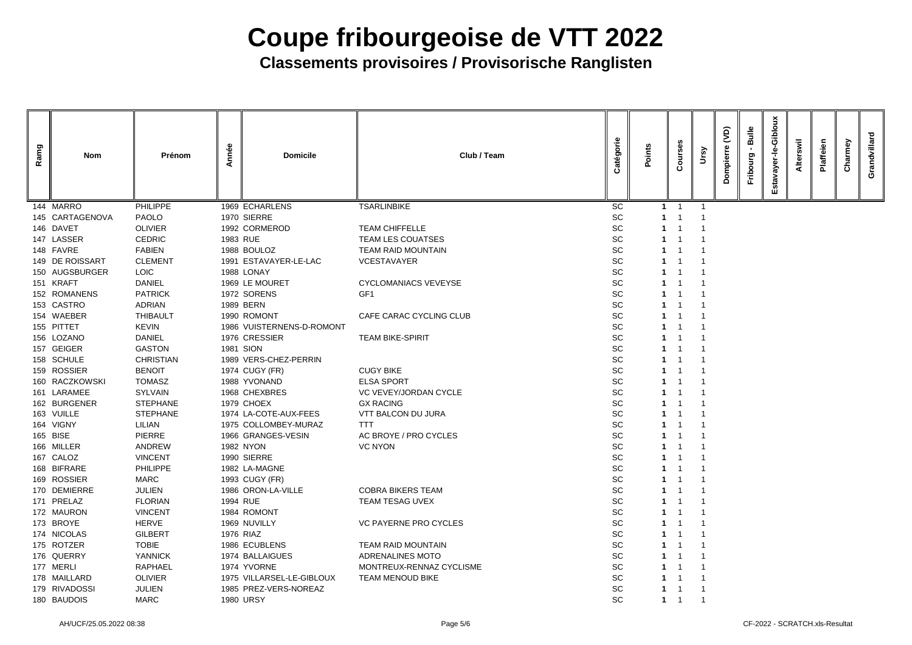| Ramg | <b>Nom</b>      | Prénom           | Année | <b>Domicile</b>           | Club / Team                  | Catégorie | Points      | $\epsilon$ | ksy | <b>QV</b><br>Φ<br>pierr<br>Dom | <b>Bulle</b><br><b>g</b> ın<br>Fribol | Giblo<br>ш | swil<br><b>Alter</b> | Plaffeien | armey | <b>Villard</b><br>້ບັ |
|------|-----------------|------------------|-------|---------------------------|------------------------------|-----------|-------------|------------|-----|--------------------------------|---------------------------------------|------------|----------------------|-----------|-------|-----------------------|
|      | 144 MARRO       | <b>PHILIPPE</b>  |       | 1969 ECHARLENS            | <b>TSARLINBIKE</b>           | SC        |             |            |     |                                |                                       |            |                      |           |       |                       |
|      | 145 CARTAGENOVA | <b>PAOLO</b>     |       | 1970 SIERRE               |                              | SC        |             |            |     |                                |                                       |            |                      |           |       |                       |
|      | 146 DAVET       | <b>OLIVIER</b>   |       | 1992 CORMEROD             | <b>TEAM CHIFFELLE</b>        | SC        |             |            |     |                                |                                       |            |                      |           |       |                       |
|      | 147 LASSER      | <b>CEDRIC</b>    |       | 1983 RUE                  | <b>TEAM LES COUATSES</b>     | SC        |             |            |     |                                |                                       |            |                      |           |       |                       |
|      | 148 FAVRE       | <b>FABIEN</b>    |       | 1988 BOULOZ               | <b>TEAM RAID MOUNTAIN</b>    | SC        |             |            |     |                                |                                       |            |                      |           |       |                       |
|      | 149 DE ROISSART | <b>CLEMENT</b>   |       | 1991 ESTAVAYER-LE-LAC     | <b>VCESTAVAYER</b>           | SC        |             |            |     |                                |                                       |            |                      |           |       |                       |
|      | 150 AUGSBURGER  | <b>LOIC</b>      |       | 1988 LONAY                |                              | SC        |             |            |     |                                |                                       |            |                      |           |       |                       |
|      | 151 KRAFT       | <b>DANIEL</b>    |       | 1969 LE MOURET            | <b>CYCLOMANIACS VEVEYSE</b>  | SC        |             |            |     |                                |                                       |            |                      |           |       |                       |
|      | 152 ROMANENS    | <b>PATRICK</b>   |       | 1972 SORENS               | GF <sub>1</sub>              | SC        |             |            |     |                                |                                       |            |                      |           |       |                       |
|      | 153 CASTRO      | <b>ADRIAN</b>    |       | 1989 BERN                 |                              | SC        |             |            |     |                                |                                       |            |                      |           |       |                       |
|      | 154 WAEBER      | <b>THIBAULT</b>  |       | 1990 ROMONT               | CAFE CARAC CYCLING CLUB      | SC        |             |            |     |                                |                                       |            |                      |           |       |                       |
|      | 155 PITTET      | <b>KEVIN</b>     |       | 1986 VUISTERNENS-D-ROMONT |                              | SC        |             |            |     |                                |                                       |            |                      |           |       |                       |
|      | 156 LOZANO      | <b>DANIEL</b>    |       | 1976 CRESSIER             | <b>TEAM BIKE-SPIRIT</b>      | SC        |             |            |     |                                |                                       |            |                      |           |       |                       |
|      | 157 GEIGER      | <b>GASTON</b>    |       | <b>1981 SION</b>          |                              | SC        |             |            |     |                                |                                       |            |                      |           |       |                       |
|      | 158 SCHULE      | <b>CHRISTIAN</b> |       | 1989 VERS-CHEZ-PERRIN     |                              | SC        |             |            |     |                                |                                       |            |                      |           |       |                       |
|      | 159 ROSSIER     | <b>BENOIT</b>    |       | 1974 CUGY (FR)            | <b>CUGY BIKE</b>             | <b>SC</b> |             |            |     |                                |                                       |            |                      |           |       |                       |
|      | 160 RACZKOWSKI  | <b>TOMASZ</b>    |       | 1988 YVONAND              | <b>ELSA SPORT</b>            | <b>SC</b> |             |            |     |                                |                                       |            |                      |           |       |                       |
|      | 161 LARAMEE     | <b>SYLVAIN</b>   |       | 1968 CHEXBRES             | <b>VC VEVEY/JORDAN CYCLE</b> | SC        |             |            |     |                                |                                       |            |                      |           |       |                       |
|      | 162 BURGENER    | <b>STEPHANE</b>  |       | 1979 CHOEX                | <b>GX RACING</b>             | <b>SC</b> |             |            |     |                                |                                       |            |                      |           |       |                       |
|      | 163 VUILLE      | <b>STEPHANE</b>  |       | 1974 LA-COTE-AUX-FEES     | VTT BALCON DU JURA           | <b>SC</b> |             |            |     |                                |                                       |            |                      |           |       |                       |
|      | 164 VIGNY       | <b>LILIAN</b>    |       | 1975 COLLOMBEY-MURAZ      | <b>TTT</b>                   | <b>SC</b> |             |            |     |                                |                                       |            |                      |           |       |                       |
|      | 165 BISE        | PIERRE           |       | 1966 GRANGES-VESIN        | AC BROYE / PRO CYCLES        | <b>SC</b> |             |            |     |                                |                                       |            |                      |           |       |                       |
|      | 166 MILLER      | <b>ANDREW</b>    |       | <b>1982 NYON</b>          | <b>VC NYON</b>               | <b>SC</b> |             |            |     |                                |                                       |            |                      |           |       |                       |
|      | 167 CALOZ       | <b>VINCENT</b>   |       | 1990 SIERRE               |                              | <b>SC</b> |             |            |     |                                |                                       |            |                      |           |       |                       |
|      | 168 BIFRARE     | <b>PHILIPPE</b>  |       | 1982 LA-MAGNE             |                              | <b>SC</b> |             |            |     |                                |                                       |            |                      |           |       |                       |
|      | 169 ROSSIER     | MARC             |       | 1993 CUGY (FR)            |                              | <b>SC</b> |             |            |     |                                |                                       |            |                      |           |       |                       |
|      | 170 DEMIERRE    | <b>JULIEN</b>    |       | 1986 ORON-LA-VILLE        | <b>COBRA BIKERS TEAM</b>     | <b>SC</b> |             |            |     |                                |                                       |            |                      |           |       |                       |
|      | 171 PRELAZ      | <b>FLORIAN</b>   |       | 1994 RUE                  | <b>TEAM TESAG UVEX</b>       | <b>SC</b> |             |            |     |                                |                                       |            |                      |           |       |                       |
|      | 172 MAURON      | <b>VINCENT</b>   |       | 1984 ROMONT               |                              | SC        |             |            |     |                                |                                       |            |                      |           |       |                       |
|      | 173 BROYE       | <b>HERVE</b>     |       | 1969 NUVILLY              | <b>VC PAYERNE PRO CYCLES</b> | SC        |             |            |     |                                |                                       |            |                      |           |       |                       |
|      | 174 NICOLAS     | <b>GILBERT</b>   |       | 1976 RIAZ                 |                              | SC        |             |            |     |                                |                                       |            |                      |           |       |                       |
|      | 175 ROTZER      | <b>TOBIE</b>     |       | 1986 ECUBLENS             | <b>TEAM RAID MOUNTAIN</b>    | SC        |             |            |     |                                |                                       |            |                      |           |       |                       |
|      | 176 QUERRY      | <b>YANNICK</b>   |       | 1974 BALLAIGUES           | ADRENALINES MOTO             | SC        |             |            |     |                                |                                       |            |                      |           |       |                       |
|      | 177 MERLI       | <b>RAPHAEL</b>   |       | 1974 YVORNE               | MONTREUX-RENNAZ CYCLISME     | SC        |             |            |     |                                |                                       |            |                      |           |       |                       |
|      | 178 MAILLARD    | <b>OLIVIER</b>   |       | 1975 VILLARSEL-LE-GIBLOUX | <b>TEAM MENOUD BIKE</b>      | SC        |             |            |     |                                |                                       |            |                      |           |       |                       |
|      | 179 RIVADOSSI   | <b>JULIEN</b>    |       | 1985 PREZ-VERS-NOREAZ     |                              | <b>SC</b> |             |            |     |                                |                                       |            |                      |           |       |                       |
|      | 180 BAUDOIS     | <b>MARC</b>      |       | <b>1980 URSY</b>          |                              | <b>SC</b> | $\mathbf 1$ | - 1        |     |                                |                                       |            |                      |           |       |                       |